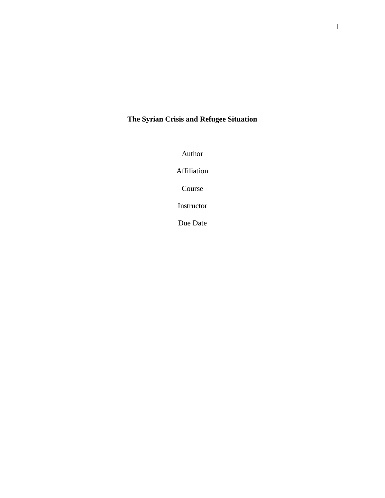## **The Syrian Crisis and Refugee Situation**

Author

Affiliation

Course

Instructor

Due Date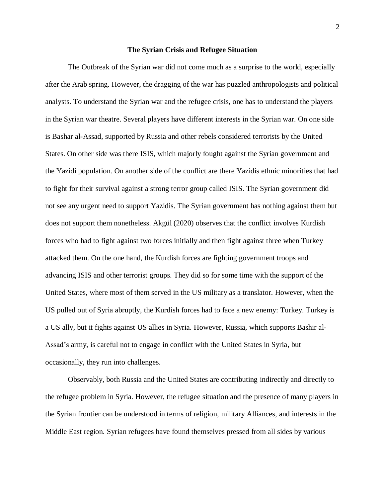## **The Syrian Crisis and Refugee Situation**

The Outbreak of the Syrian war did not come much as a surprise to the world, especially after the Arab spring. However, the dragging of the war has puzzled anthropologists and political analysts. To understand the Syrian war and the refugee crisis, one has to understand the players in the Syrian war theatre. Several players have different interests in the Syrian war. On one side is Bashar al-Assad, supported by Russia and other rebels considered terrorists by the United States. On other side was there ISIS, which majorly fought against the Syrian government and the Yazidi population. On another side of the conflict are there Yazidis ethnic minorities that had to fight for their survival against a strong terror group called ISIS. The Syrian government did not see any urgent need to support Yazidis. The Syrian government has nothing against them but does not support them nonetheless. Akgül (2020) observes that the conflict involves Kurdish forces who had to fight against two forces initially and then fight against three when Turkey attacked them. On the one hand, the Kurdish forces are fighting government troops and advancing ISIS and other terrorist groups. They did so for some time with the support of the United States, where most of them served in the US military as a translator. However, when the US pulled out of Syria abruptly, the Kurdish forces had to face a new enemy: Turkey. Turkey is a US ally, but it fights against US allies in Syria. However, Russia, which supports Bashir al-Assad's army, is careful not to engage in conflict with the United States in Syria, but occasionally, they run into challenges.

Observably, both Russia and the United States are contributing indirectly and directly to the refugee problem in Syria. However, the refugee situation and the presence of many players in the Syrian frontier can be understood in terms of religion, military Alliances, and interests in the Middle East region. Syrian refugees have found themselves pressed from all sides by various

2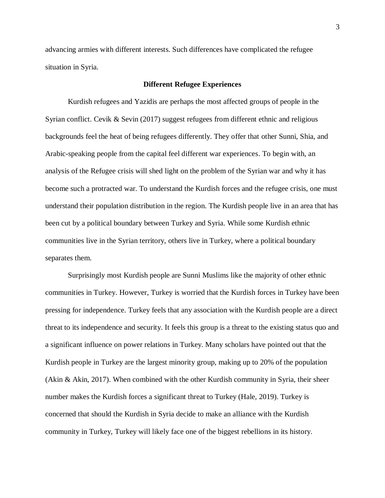advancing armies with different interests. Such differences have complicated the refugee situation in Syria.

## **Different Refugee Experiences**

Kurdish refugees and Yazidis are perhaps the most affected groups of people in the Syrian conflict. Cevik & Sevin (2017) suggest refugees from different ethnic and religious backgrounds feel the heat of being refugees differently. They offer that other Sunni, Shia, and Arabic-speaking people from the capital feel different war experiences. To begin with, an analysis of the Refugee crisis will shed light on the problem of the Syrian war and why it has become such a protracted war. To understand the Kurdish forces and the refugee crisis, one must understand their population distribution in the region. The Kurdish people live in an area that has been cut by a political boundary between Turkey and Syria. While some Kurdish ethnic communities live in the Syrian territory, others live in Turkey, where a political boundary separates them.

Surprisingly most Kurdish people are Sunni Muslims like the majority of other ethnic communities in Turkey. However, Turkey is worried that the Kurdish forces in Turkey have been pressing for independence. Turkey feels that any association with the Kurdish people are a direct threat to its independence and security. It feels this group is a threat to the existing status quo and a significant influence on power relations in Turkey. Many scholars have pointed out that the Kurdish people in Turkey are the largest minority group, making up to 20% of the population (Akin & Akin, 2017). When combined with the other Kurdish community in Syria, their sheer number makes the Kurdish forces a significant threat to Turkey (Hale, 2019). Turkey is concerned that should the Kurdish in Syria decide to make an alliance with the Kurdish community in Turkey, Turkey will likely face one of the biggest rebellions in its history.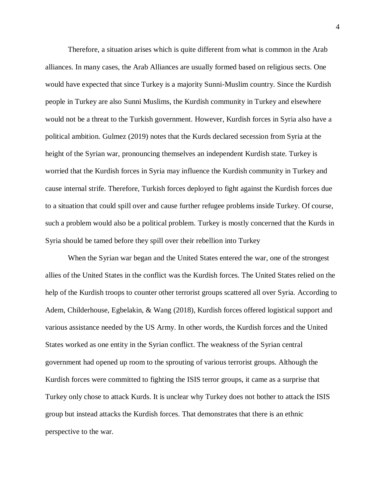Therefore, a situation arises which is quite different from what is common in the Arab alliances. In many cases, the Arab Alliances are usually formed based on religious sects. One would have expected that since Turkey is a majority Sunni-Muslim country. Since the Kurdish people in Turkey are also Sunni Muslims, the Kurdish community in Turkey and elsewhere would not be a threat to the Turkish government. However, Kurdish forces in Syria also have a political ambition. Gulmez (2019) notes that the Kurds declared secession from Syria at the height of the Syrian war, pronouncing themselves an independent Kurdish state. Turkey is worried that the Kurdish forces in Syria may influence the Kurdish community in Turkey and cause internal strife. Therefore, Turkish forces deployed to fight against the Kurdish forces due to a situation that could spill over and cause further refugee problems inside Turkey. Of course, such a problem would also be a political problem. Turkey is mostly concerned that the Kurds in Syria should be tamed before they spill over their rebellion into Turkey

When the Syrian war began and the United States entered the war, one of the strongest allies of the United States in the conflict was the Kurdish forces. The United States relied on the help of the Kurdish troops to counter other terrorist groups scattered all over Syria. According to Adem, Childerhouse, Egbelakin, & Wang (2018), Kurdish forces offered logistical support and various assistance needed by the US Army. In other words, the Kurdish forces and the United States worked as one entity in the Syrian conflict. The weakness of the Syrian central government had opened up room to the sprouting of various terrorist groups. Although the Kurdish forces were committed to fighting the ISIS terror groups, it came as a surprise that Turkey only chose to attack Kurds. It is unclear why Turkey does not bother to attack the ISIS group but instead attacks the Kurdish forces. That demonstrates that there is an ethnic perspective to the war.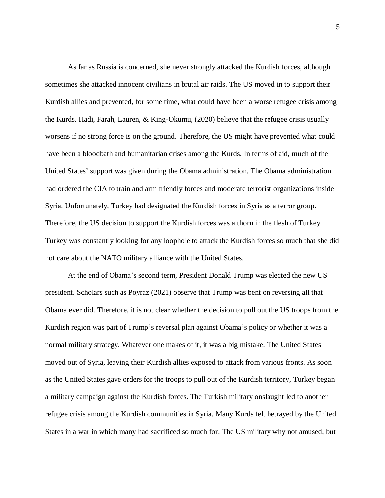As far as Russia is concerned, she never strongly attacked the Kurdish forces, although sometimes she attacked innocent civilians in brutal air raids. The US moved in to support their Kurdish allies and prevented, for some time, what could have been a worse refugee crisis among the Kurds. Hadi, Farah, Lauren, & King-Okumu, (2020) believe that the refugee crisis usually worsens if no strong force is on the ground. Therefore, the US might have prevented what could have been a bloodbath and humanitarian crises among the Kurds. In terms of aid, much of the United States' support was given during the Obama administration. The Obama administration had ordered the CIA to train and arm friendly forces and moderate terrorist organizations inside Syria. Unfortunately, Turkey had designated the Kurdish forces in Syria as a terror group. Therefore, the US decision to support the Kurdish forces was a thorn in the flesh of Turkey. Turkey was constantly looking for any loophole to attack the Kurdish forces so much that she did not care about the NATO military alliance with the United States.

At the end of Obama's second term, President Donald Trump was elected the new US president. Scholars such as Poyraz (2021) observe that Trump was bent on reversing all that Obama ever did. Therefore, it is not clear whether the decision to pull out the US troops from the Kurdish region was part of Trump's reversal plan against Obama's policy or whether it was a normal military strategy. Whatever one makes of it, it was a big mistake. The United States moved out of Syria, leaving their Kurdish allies exposed to attack from various fronts. As soon as the United States gave orders for the troops to pull out of the Kurdish territory, Turkey began a military campaign against the Kurdish forces. The Turkish military onslaught led to another refugee crisis among the Kurdish communities in Syria. Many Kurds felt betrayed by the United States in a war in which many had sacrificed so much for. The US military why not amused, but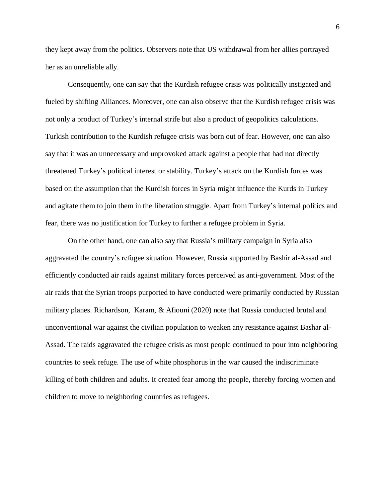they kept away from the politics. Observers note that US withdrawal from her allies portrayed her as an unreliable ally.

Consequently, one can say that the Kurdish refugee crisis was politically instigated and fueled by shifting Alliances. Moreover, one can also observe that the Kurdish refugee crisis was not only a product of Turkey's internal strife but also a product of geopolitics calculations. Turkish contribution to the Kurdish refugee crisis was born out of fear. However, one can also say that it was an unnecessary and unprovoked attack against a people that had not directly threatened Turkey's political interest or stability. Turkey's attack on the Kurdish forces was based on the assumption that the Kurdish forces in Syria might influence the Kurds in Turkey and agitate them to join them in the liberation struggle. Apart from Turkey's internal politics and fear, there was no justification for Turkey to further a refugee problem in Syria.

On the other hand, one can also say that Russia's military campaign in Syria also aggravated the country's refugee situation. However, Russia supported by Bashir al-Assad and efficiently conducted air raids against military forces perceived as anti-government. Most of the air raids that the Syrian troops purported to have conducted were primarily conducted by Russian military planes. Richardson, Karam, & Afiouni (2020) note that Russia conducted brutal and unconventional war against the civilian population to weaken any resistance against Bashar al-Assad. The raids aggravated the refugee crisis as most people continued to pour into neighboring countries to seek refuge. The use of white phosphorus in the war caused the indiscriminate killing of both children and adults. It created fear among the people, thereby forcing women and children to move to neighboring countries as refugees.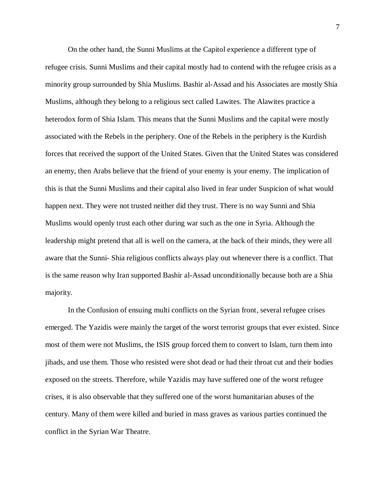On the other hand, the Sunni Muslims at the Capitol experience a different type of refugee crisis. Sunni Muslims and their capital mostly had to contend with the refugee crisis as a minority group surrounded by Shia Muslims. Bashir al-Assad and his Associates are mostly Shia Muslims, although they belong to a religious sect called Lawites. The Alawites practice a heterodox form of Shia Islam. This means that the Sunni Muslims and the capital were mostly associated with the Rebels in the periphery. One of the Rebels in the periphery is the Kurdish forces that received the support of the United States. Given that the United States was considered an enemy, then Arabs believe that the friend of your enemy is your enemy. The implication of this is that the Sunni Muslims and their capital also lived in fear under Suspicion of what would happen next. They were not trusted neither did they trust. There is no way Sunni and Shia Muslims would openly trust each other during war such as the one in Syria. Although the leadership might pretend that all is well on the camera, at the back of their minds, they were all aware that the Sunni- Shia religious conflicts always play out whenever there is a conflict. That is the same reason why Iran supported Bashir al-Assad unconditionally because both are a Shia majority.

In the Confusion of ensuing multi conflicts on the Syrian front, several refugee crises emerged. The Yazidis were mainly the target of the worst terrorist groups that ever existed. Since most of them were not Muslims, the ISIS group forced them to convert to Islam, turn them into jihads, and use them. Those who resisted were shot dead or had their throat cut and their bodies exposed on the streets. Therefore, while Yazidis may have suffered one of the worst refugee crises, it is also observable that they suffered one of the worst humanitarian abuses of the century. Many of them were killed and buried in mass graves as various parties continued the conflict in the Syrian War Theatre.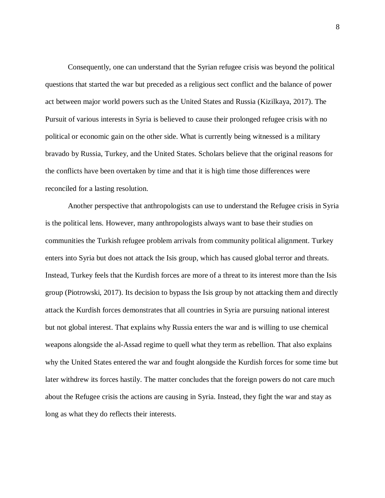Consequently, one can understand that the Syrian refugee crisis was beyond the political questions that started the war but preceded as a religious sect conflict and the balance of power act between major world powers such as the United States and Russia (Kizilkaya, 2017). The Pursuit of various interests in Syria is believed to cause their prolonged refugee crisis with no political or economic gain on the other side. What is currently being witnessed is a military bravado by Russia, Turkey, and the United States. Scholars believe that the original reasons for the conflicts have been overtaken by time and that it is high time those differences were reconciled for a lasting resolution.

Another perspective that anthropologists can use to understand the Refugee crisis in Syria is the political lens. However, many anthropologists always want to base their studies on communities the Turkish refugee problem arrivals from community political alignment. Turkey enters into Syria but does not attack the Isis group, which has caused global terror and threats. Instead, Turkey feels that the Kurdish forces are more of a threat to its interest more than the Isis group (Piotrowski, 2017). Its decision to bypass the Isis group by not attacking them and directly attack the Kurdish forces demonstrates that all countries in Syria are pursuing national interest but not global interest. That explains why Russia enters the war and is willing to use chemical weapons alongside the al-Assad regime to quell what they term as rebellion. That also explains why the United States entered the war and fought alongside the Kurdish forces for some time but later withdrew its forces hastily. The matter concludes that the foreign powers do not care much about the Refugee crisis the actions are causing in Syria. Instead, they fight the war and stay as long as what they do reflects their interests.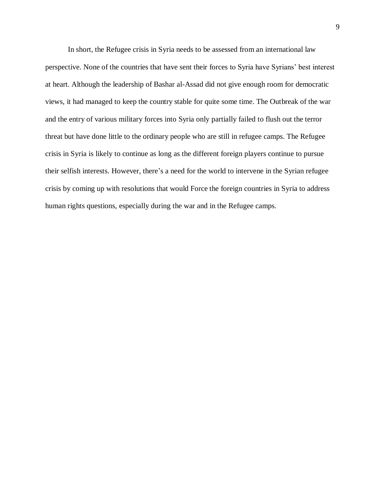In short, the Refugee crisis in Syria needs to be assessed from an international law perspective. None of the countries that have sent their forces to Syria have Syrians' best interest at heart. Although the leadership of Bashar al-Assad did not give enough room for democratic views, it had managed to keep the country stable for quite some time. The Outbreak of the war and the entry of various military forces into Syria only partially failed to flush out the terror threat but have done little to the ordinary people who are still in refugee camps. The Refugee crisis in Syria is likely to continue as long as the different foreign players continue to pursue their selfish interests. However, there's a need for the world to intervene in the Syrian refugee crisis by coming up with resolutions that would Force the foreign countries in Syria to address human rights questions, especially during the war and in the Refugee camps.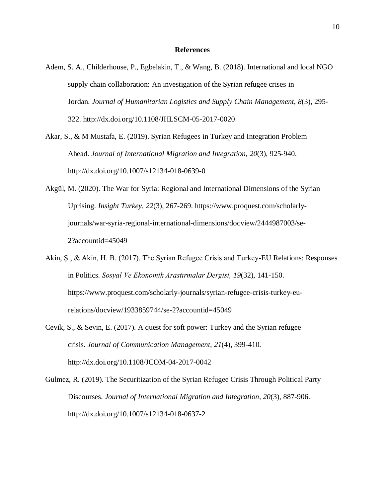## **References**

Adem, S. A., Childerhouse, P., Egbelakin, T., & Wang, B. (2018). International and local NGO supply chain collaboration: An investigation of the Syrian refugee crises in Jordan. *Journal of Humanitarian Logistics and Supply Chain Management, 8*(3), 295- 322. http://dx.doi.org/10.1108/JHLSCM-05-2017-0020

Akar, S., & M Mustafa, E. (2019). Syrian Refugees in Turkey and Integration Problem Ahead. *Journal of International Migration and Integration, 20*(3), 925-940. http://dx.doi.org/10.1007/s12134-018-0639-0

- Akgül, M. (2020). The War for Syria: Regional and International Dimensions of the Syrian Uprising. *Insight Turkey, 22*(3), 267-269. https://www.proquest.com/scholarlyjournals/war-syria-regional-international-dimensions/docview/2444987003/se-2?accountid=45049
- Akin, Ş., & Akin, H. B. (2017). The Syrian Refugee Crisis and Turkey-EU Relations: Responses in Politics. *Sosyal Ve Ekonomik Arastırmalar Dergisi, 19*(32), 141-150. https://www.proquest.com/scholarly-journals/syrian-refugee-crisis-turkey-eurelations/docview/1933859744/se-2?accountid=45049
- Cevik, S., & Sevin, E. (2017). A quest for soft power: Turkey and the Syrian refugee crisis. *Journal of Communication Management, 21*(4), 399-410. http://dx.doi.org/10.1108/JCOM-04-2017-0042
- Gulmez, R. (2019). The Securitization of the Syrian Refugee Crisis Through Political Party Discourses. *Journal of International Migration and Integration, 20*(3), 887-906. http://dx.doi.org/10.1007/s12134-018-0637-2